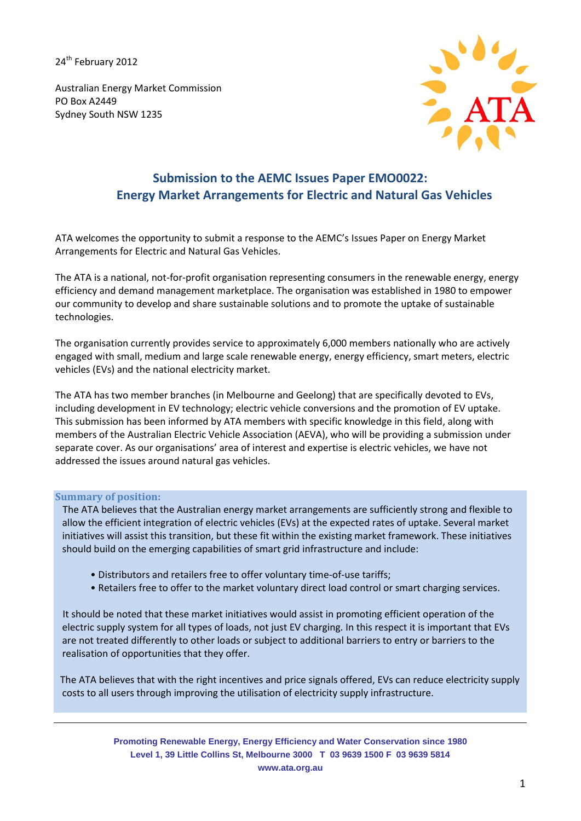24<sup>th</sup> February 2012

Australian Energy Market Commission PO Box A2449 Sydney South NSW 1235



# **Submission to the AEMC Issues Paper EMO0022: Energy Market Arrangements for Electric and Natural Gas Vehicles**

ATA welcomes the opportunity to submit a response to the AEMC's Issues Paper on Energy Market Arrangements for Electric and Natural Gas Vehicles.

The ATA is a national, not-for-profit organisation representing consumers in the renewable energy, energy efficiency and demand management marketplace. The organisation was established in 1980 to empower our community to develop and share sustainable solutions and to promote the uptake of sustainable technologies.

The organisation currently provides service to approximately 6,000 members nationally who are actively engaged with small, medium and large scale renewable energy, energy efficiency, smart meters, electric vehicles (EVs) and the national electricity market.

The ATA has two member branches (in Melbourne and Geelong) that are specifically devoted to EVs, including development in EV technology; electric vehicle conversions and the promotion of EV uptake. This submission has been informed by ATA members with specific knowledge in this field, along with members of the Australian Electric Vehicle Association (AEVA), who will be providing a submission under separate cover. As our organisations' area of interest and expertise is electric vehicles, we have not addressed the issues around natural gas vehicles.

#### **Summary of position:**

 The ATA believes that the Australian energy market arrangements are sufficiently strong and flexible to allow the efficient integration of electric vehicles (EVs) at the expected rates of uptake. Several market initiatives will assist this transition, but these fit within the existing market framework. These initiatives should build on the emerging capabilities of smart grid infrastructure and include:

- Distributors and retailers free to offer voluntary time-of-use tariffs;
- Retailers free to offer to the market voluntary direct load control or smart charging services.

 It should be noted that these market initiatives would assist in promoting efficient operation of the electric supply system for all types of loads, not just EV charging. In this respect it is important that EVs are not treated differently to other loads or subject to additional barriers to entry or barriers to the realisation of opportunities that they offer.

 The ATA believes that with the right incentives and price signals offered, EVs can reduce electricity supply costs to all users through improving the utilisation of electricity supply infrastructure.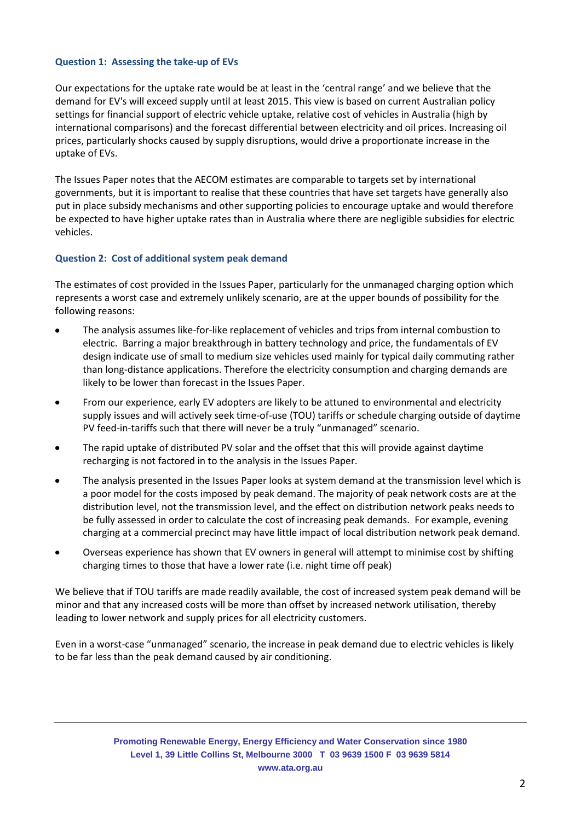# **Question 1: Assessing the take-up of EVs**

Our expectations for the uptake rate would be at least in the 'central range' and we believe that the demand for EV's will exceed supply until at least 2015. This view is based on current Australian policy settings for financial support of electric vehicle uptake, relative cost of vehicles in Australia (high by international comparisons) and the forecast differential between electricity and oil prices. Increasing oil prices, particularly shocks caused by supply disruptions, would drive a proportionate increase in the uptake of EVs.

The Issues Paper notes that the AECOM estimates are comparable to targets set by international governments, but it is important to realise that these countries that have set targets have generally also put in place subsidy mechanisms and other supporting policies to encourage uptake and would therefore be expected to have higher uptake rates than in Australia where there are negligible subsidies for electric vehicles.

# **Question 2: Cost of additional system peak demand**

The estimates of cost provided in the Issues Paper, particularly for the unmanaged charging option which represents a worst case and extremely unlikely scenario, are at the upper bounds of possibility for the following reasons:

- The analysis assumes like-for-like replacement of vehicles and trips from internal combustion to electric. Barring a major breakthrough in battery technology and price, the fundamentals of EV design indicate use of small to medium size vehicles used mainly for typical daily commuting rather than long-distance applications. Therefore the electricity consumption and charging demands are likely to be lower than forecast in the Issues Paper.
- From our experience, early EV adopters are likely to be attuned to environmental and electricity  $\bullet$ supply issues and will actively seek time-of-use (TOU) tariffs or schedule charging outside of daytime PV feed-in-tariffs such that there will never be a truly "unmanaged" scenario.
- The rapid uptake of distributed PV solar and the offset that this will provide against daytime  $\bullet$ recharging is not factored in to the analysis in the Issues Paper.
- The analysis presented in the Issues Paper looks at system demand at the transmission level which is a poor model for the costs imposed by peak demand. The majority of peak network costs are at the distribution level, not the transmission level, and the effect on distribution network peaks needs to be fully assessed in order to calculate the cost of increasing peak demands. For example, evening charging at a commercial precinct may have little impact of local distribution network peak demand.
- Overseas experience has shown that EV owners in general will attempt to minimise cost by shifting charging times to those that have a lower rate (i.e. night time off peak)

We believe that if TOU tariffs are made readily available, the cost of increased system peak demand will be minor and that any increased costs will be more than offset by increased network utilisation, thereby leading to lower network and supply prices for all electricity customers.

Even in a worst-case "unmanaged" scenario, the increase in peak demand due to electric vehicles is likely to be far less than the peak demand caused by air conditioning.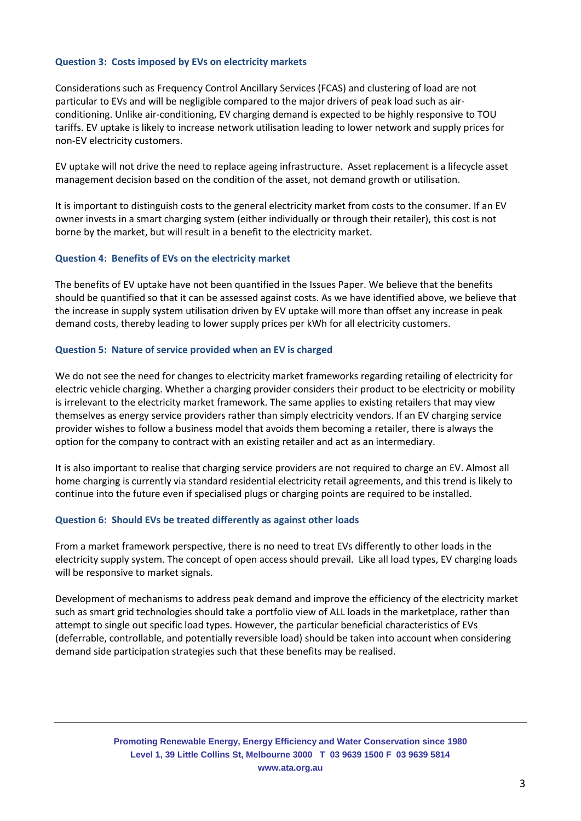# **Question 3: Costs imposed by EVs on electricity markets**

Considerations such as Frequency Control Ancillary Services (FCAS) and clustering of load are not particular to EVs and will be negligible compared to the major drivers of peak load such as airconditioning. Unlike air-conditioning, EV charging demand is expected to be highly responsive to TOU tariffs. EV uptake is likely to increase network utilisation leading to lower network and supply prices for non-EV electricity customers.

EV uptake will not drive the need to replace ageing infrastructure. Asset replacement is a lifecycle asset management decision based on the condition of the asset, not demand growth or utilisation.

It is important to distinguish costs to the general electricity market from costs to the consumer. If an EV owner invests in a smart charging system (either individually or through their retailer), this cost is not borne by the market, but will result in a benefit to the electricity market.

#### **Question 4: Benefits of EVs on the electricity market**

The benefits of EV uptake have not been quantified in the Issues Paper. We believe that the benefits should be quantified so that it can be assessed against costs. As we have identified above, we believe that the increase in supply system utilisation driven by EV uptake will more than offset any increase in peak demand costs, thereby leading to lower supply prices per kWh for all electricity customers.

#### **Question 5: Nature of service provided when an EV is charged**

We do not see the need for changes to electricity market frameworks regarding retailing of electricity for electric vehicle charging. Whether a charging provider considers their product to be electricity or mobility is irrelevant to the electricity market framework. The same applies to existing retailers that may view themselves as energy service providers rather than simply electricity vendors. If an EV charging service provider wishes to follow a business model that avoids them becoming a retailer, there is always the option for the company to contract with an existing retailer and act as an intermediary.

It is also important to realise that charging service providers are not required to charge an EV. Almost all home charging is currently via standard residential electricity retail agreements, and this trend is likely to continue into the future even if specialised plugs or charging points are required to be installed.

#### **Question 6: Should EVs be treated differently as against other loads**

From a market framework perspective, there is no need to treat EVs differently to other loads in the electricity supply system. The concept of open access should prevail. Like all load types, EV charging loads will be responsive to market signals.

Development of mechanisms to address peak demand and improve the efficiency of the electricity market such as smart grid technologies should take a portfolio view of ALL loads in the marketplace, rather than attempt to single out specific load types. However, the particular beneficial characteristics of EVs (deferrable, controllable, and potentially reversible load) should be taken into account when considering demand side participation strategies such that these benefits may be realised.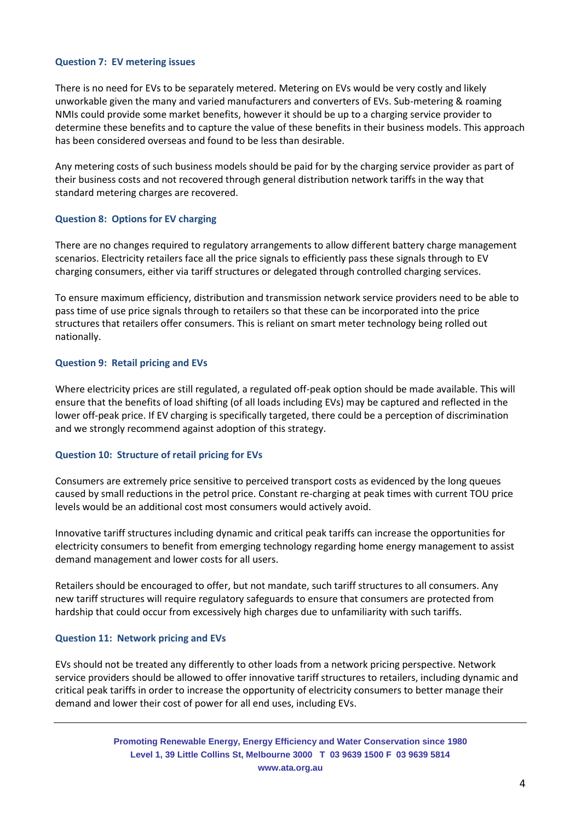# **Question 7: EV metering issues**

There is no need for EVs to be separately metered. Metering on EVs would be very costly and likely unworkable given the many and varied manufacturers and converters of EVs. Sub-metering & roaming NMIs could provide some market benefits, however it should be up to a charging service provider to determine these benefits and to capture the value of these benefits in their business models. This approach has been considered overseas and found to be less than desirable.

Any metering costs of such business models should be paid for by the charging service provider as part of their business costs and not recovered through general distribution network tariffs in the way that standard metering charges are recovered.

# **Question 8: Options for EV charging**

There are no changes required to regulatory arrangements to allow different battery charge management scenarios. Electricity retailers face all the price signals to efficiently pass these signals through to EV charging consumers, either via tariff structures or delegated through controlled charging services.

To ensure maximum efficiency, distribution and transmission network service providers need to be able to pass time of use price signals through to retailers so that these can be incorporated into the price structures that retailers offer consumers. This is reliant on smart meter technology being rolled out nationally.

# **Question 9: Retail pricing and EVs**

Where electricity prices are still regulated, a regulated off-peak option should be made available. This will ensure that the benefits of load shifting (of all loads including EVs) may be captured and reflected in the lower off-peak price. If EV charging is specifically targeted, there could be a perception of discrimination and we strongly recommend against adoption of this strategy.

#### **Question 10: Structure of retail pricing for EVs**

Consumers are extremely price sensitive to perceived transport costs as evidenced by the long queues caused by small reductions in the petrol price. Constant re-charging at peak times with current TOU price levels would be an additional cost most consumers would actively avoid.

Innovative tariff structures including dynamic and critical peak tariffs can increase the opportunities for electricity consumers to benefit from emerging technology regarding home energy management to assist demand management and lower costs for all users.

Retailers should be encouraged to offer, but not mandate, such tariff structures to all consumers. Any new tariff structures will require regulatory safeguards to ensure that consumers are protected from hardship that could occur from excessively high charges due to unfamiliarity with such tariffs.

#### **Question 11: Network pricing and EVs**

EVs should not be treated any differently to other loads from a network pricing perspective. Network service providers should be allowed to offer innovative tariff structures to retailers, including dynamic and critical peak tariffs in order to increase the opportunity of electricity consumers to better manage their demand and lower their cost of power for all end uses, including EVs.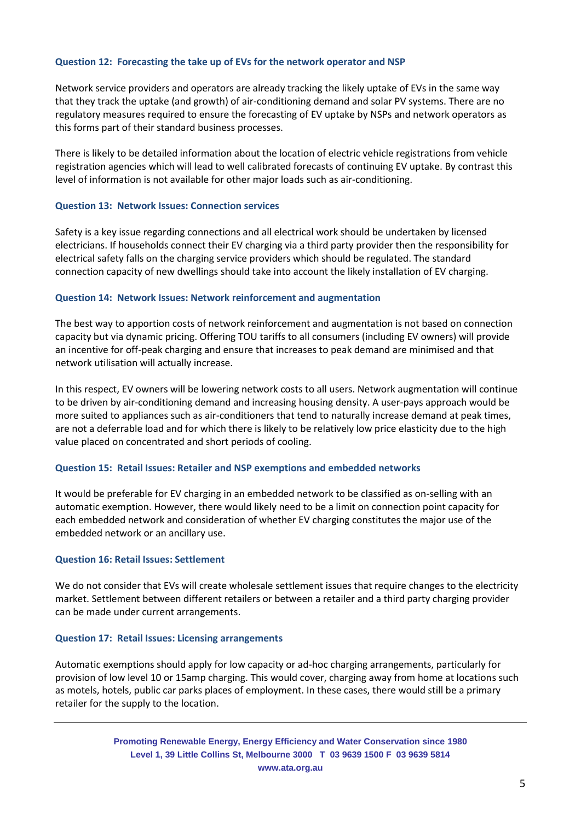# **Question 12: Forecasting the take up of EVs for the network operator and NSP**

Network service providers and operators are already tracking the likely uptake of EVs in the same way that they track the uptake (and growth) of air-conditioning demand and solar PV systems. There are no regulatory measures required to ensure the forecasting of EV uptake by NSPs and network operators as this forms part of their standard business processes.

There is likely to be detailed information about the location of electric vehicle registrations from vehicle registration agencies which will lead to well calibrated forecasts of continuing EV uptake. By contrast this level of information is not available for other major loads such as air-conditioning.

# **Question 13: Network Issues: Connection services**

Safety is a key issue regarding connections and all electrical work should be undertaken by licensed electricians. If households connect their EV charging via a third party provider then the responsibility for electrical safety falls on the charging service providers which should be regulated. The standard connection capacity of new dwellings should take into account the likely installation of EV charging.

# **Question 14: Network Issues: Network reinforcement and augmentation**

The best way to apportion costs of network reinforcement and augmentation is not based on connection capacity but via dynamic pricing. Offering TOU tariffs to all consumers (including EV owners) will provide an incentive for off-peak charging and ensure that increases to peak demand are minimised and that network utilisation will actually increase.

In this respect, EV owners will be lowering network costs to all users. Network augmentation will continue to be driven by air-conditioning demand and increasing housing density. A user-pays approach would be more suited to appliances such as air-conditioners that tend to naturally increase demand at peak times, are not a deferrable load and for which there is likely to be relatively low price elasticity due to the high value placed on concentrated and short periods of cooling.

#### **Question 15: Retail Issues: Retailer and NSP exemptions and embedded networks**

It would be preferable for EV charging in an embedded network to be classified as on-selling with an automatic exemption. However, there would likely need to be a limit on connection point capacity for each embedded network and consideration of whether EV charging constitutes the major use of the embedded network or an ancillary use.

#### **Question 16: Retail Issues: Settlement**

We do not consider that EVs will create wholesale settlement issues that require changes to the electricity market. Settlement between different retailers or between a retailer and a third party charging provider can be made under current arrangements.

#### **Question 17: Retail Issues: Licensing arrangements**

Automatic exemptions should apply for low capacity or ad-hoc charging arrangements, particularly for provision of low level 10 or 15amp charging. This would cover, charging away from home at locations such as motels, hotels, public car parks places of employment. In these cases, there would still be a primary retailer for the supply to the location.